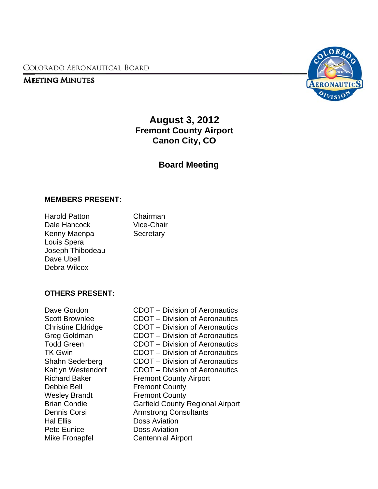COLORADO AERONAUTICAL BOARD

## **MEETING MINUTES**



# **Fremont County Airport August 3, 2012 Canon City, CO**

## **Board Meeting**

#### **MEMBE ERS PRESE ENT:**

| <b>Harold Patton</b> | Chairman   |
|----------------------|------------|
| Dale Hancock         | Vice-Chair |
| Kenny Maenpa         | Secretary  |
| Louis Spera          |            |
| Joseph Thibodeau     |            |
| Dave Ubell           |            |
| Debra Wilcox         |            |

#### OTHERS PRESENT:

Dave Gordon Scott Brownlee Christine e Eldridge Greg Go oldman Todd Green TK Gwin n Shahn S Sederberg Kaitlyn W Westendorf Richard Baker Debbie B Bell Wesley Brandt Brian Co ondie Dennis C Corsi Hal Ellis s Pete Eu nice Mike Fronapfel

CDOT – Division of Aeronautics CDOT – Division of Aeronautics CDOT – Division of Aeronautics CDOT – Division of Aeronautics CDOT – Division of Aeronautics CDOT – Division of Aeronautics CDOT – Division of Aeronautics f CDOT – Division of Aeronautics Fremont County Airport **Fremont County Fremont County** Garfield County Regional Airport Armstrong Consultants Doss Aviation Doss Aviation Doss Aviation<br>Doss Aviation<br>Centennial Airport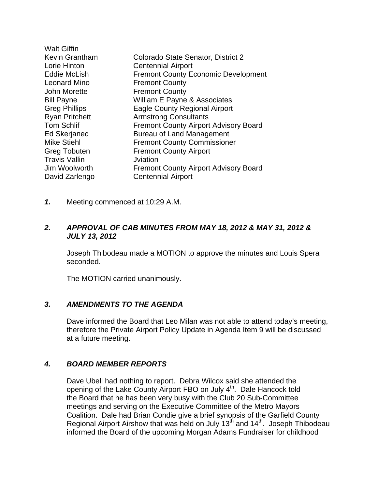| Walt Giffin           |                                              |
|-----------------------|----------------------------------------------|
| Kevin Grantham        | Colorado State Senator, District 2           |
| Lorie Hinton          | <b>Centennial Airport</b>                    |
| <b>Eddie McLish</b>   | <b>Fremont County Economic Development</b>   |
| Leonard Mino          | <b>Fremont County</b>                        |
| John Morette          | <b>Fremont County</b>                        |
| <b>Bill Payne</b>     | William E Payne & Associates                 |
| Greg Phillips         | <b>Eagle County Regional Airport</b>         |
| <b>Ryan Pritchett</b> | <b>Armstrong Consultants</b>                 |
| <b>Tom Schlif</b>     | <b>Fremont County Airport Advisory Board</b> |
| <b>Ed Skerjanec</b>   | <b>Bureau of Land Management</b>             |
| Mike Stiehl           | <b>Fremont County Commissioner</b>           |
| Greg Tobuten          | <b>Fremont County Airport</b>                |
| <b>Travis Vallin</b>  | Jviation                                     |
| Jim Woolworth         | <b>Fremont County Airport Advisory Board</b> |
| David Zarlengo        | <b>Centennial Airport</b>                    |
|                       |                                              |

*1.* Meeting commenced at 10:29 A.M.

#### *2. APPROVAL OF CAB MINUTES FROM MAY 18, 2012 & MAY 31, 2012 & JULY 13, 2012*

 Joseph Thibodeau made a MOTION to approve the minutes and Louis Spera seconded.

The MOTION carried unanimously.

#### *3. AMENDMENTS TO THE AGENDA*

Dave informed the Board that Leo Milan was not able to attend today's meeting, therefore the Private Airport Policy Update in Agenda Item 9 will be discussed at a future meeting.

## *4. BOARD MEMBER REPORTS*

Dave Ubell had nothing to report. Debra Wilcox said she attended the opening of the Lake County Airport FBO on July 4<sup>th</sup>. Dale Hancock told the Board that he has been very busy with the Club 20 Sub-Committee meetings and serving on the Executive Committee of the Metro Mayors Coalition. Dale had Brian Condie give a brief synopsis of the Garfield County Regional Airport Airshow that was held on July 13<sup>th</sup> and 14<sup>th</sup>. Joseph Thibodeau informed the Board of the upcoming Morgan Adams Fundraiser for childhood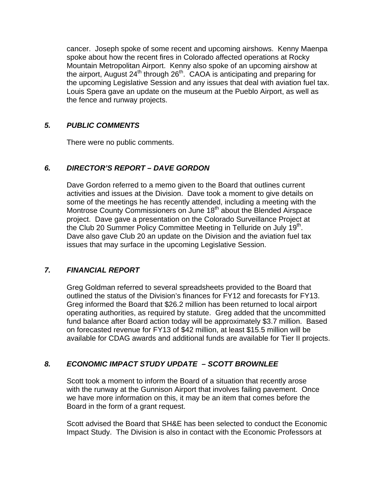cancer. Joseph spoke of some recent and upcoming airshows. Kenny Maenpa spoke about how the recent fires in Colorado affected operations at Rocky Mountain Metropolitan Airport. Kenny also spoke of an upcoming airshow at the airport, August 24<sup>th</sup> through 26<sup>th</sup>. CAOA is anticipating and preparing for the upcoming Legislative Session and any issues that deal with aviation fuel tax. Louis Spera gave an update on the museum at the Pueblo Airport, as well as the fence and runway projects.

## *5. PUBLIC COMMENTS*

There were no public comments.

## *6. DIRECTOR'S REPORT – DAVE GORDON*

Dave Gordon referred to a memo given to the Board that outlines current activities and issues at the Division. Dave took a moment to give details on some of the meetings he has recently attended, including a meeting with the Montrose County Commissioners on June 18<sup>th</sup> about the Blended Airspace project. Dave gave a presentation on the Colorado Surveillance Project at the Club 20 Summer Policy Committee Meeting in Telluride on July 19<sup>th</sup>. Dave also gave Club 20 an update on the Division and the aviation fuel tax issues that may surface in the upcoming Legislative Session.

## *7. FINANCIAL REPORT*

Greg Goldman referred to several spreadsheets provided to the Board that outlined the status of the Division's finances for FY12 and forecasts for FY13. Greg informed the Board that \$26.2 million has been returned to local airport operating authorities, as required by statute. Greg added that the uncommitted fund balance after Board action today will be approximately \$3.7 million. Based on forecasted revenue for FY13 of \$42 million, at least \$15.5 million will be available for CDAG awards and additional funds are available for Tier II projects.

## *8. ECONOMIC IMPACT STUDY UPDATE – SCOTT BROWNLEE*

Scott took a moment to inform the Board of a situation that recently arose with the runway at the Gunnison Airport that involves failing pavement. Once we have more information on this, it may be an item that comes before the Board in the form of a grant request.

 Scott advised the Board that SH&E has been selected to conduct the Economic Impact Study. The Division is also in contact with the Economic Professors at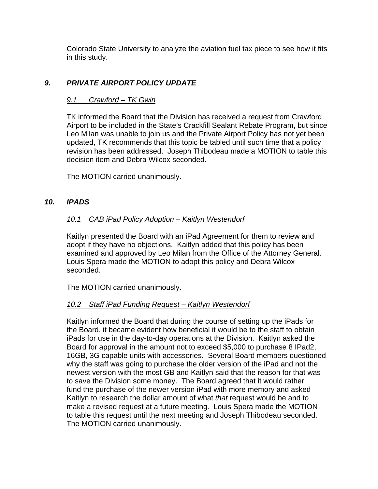Colorado State University to analyze the aviation fuel tax piece to see how it fits in this study.

## *9. PRIVATE AIRPORT POLICY UPDATE*

#### *9.1 Crawford – TK Gwin*

 TK informed the Board that the Division has received a request from Crawford Airport to be included in the State's Crackfill Sealant Rebate Program, but since Leo Milan was unable to join us and the Private Airport Policy has not yet been updated, TK recommends that this topic be tabled until such time that a policy revision has been addressed. Joseph Thibodeau made a MOTION to table this decision item and Debra Wilcox seconded.

The MOTION carried unanimously.

#### *10. IPADS*

## *10.1 CAB iPad Policy Adoption – Kaitlyn Westendorf*

 Kaitlyn presented the Board with an iPad Agreement for them to review and adopt if they have no objections. Kaitlyn added that this policy has been examined and approved by Leo Milan from the Office of the Attorney General. Louis Spera made the MOTION to adopt this policy and Debra Wilcox seconded.

The MOTION carried unanimously.

#### *10.2 Staff iPad Funding Request – Kaitlyn Westendorf*

 Kaitlyn informed the Board that during the course of setting up the iPads for the Board, it became evident how beneficial it would be to the staff to obtain iPads for use in the day-to-day operations at the Division. Kaitlyn asked the Board for approval in the amount not to exceed \$5,000 to purchase 8 IPad2, 16GB, 3G capable units with accessories. Several Board members questioned why the staff was going to purchase the older version of the iPad and not the newest version with the most GB and Kaitlyn said that the reason for that was to save the Division some money. The Board agreed that it would rather fund the purchase of the newer version iPad with more memory and asked Kaitlyn to research the dollar amount of what *that* request would be and to make a revised request at a future meeting. Louis Spera made the MOTION to table this request until the next meeting and Joseph Thibodeau seconded. The MOTION carried unanimously.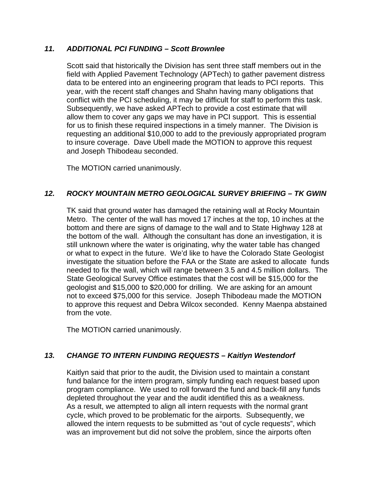#### *11. ADDITIONAL PCI FUNDING – Scott Brownlee*

Scott said that historically the Division has sent three staff members out in the field with Applied Pavement Technology (APTech) to gather pavement distress data to be entered into an engineering program that leads to PCI reports. This year, with the recent staff changes and Shahn having many obligations that conflict with the PCI scheduling, it may be difficult for staff to perform this task. Subsequently, we have asked APTech to provide a cost estimate that will allow them to cover any gaps we may have in PCI support. This is essential for us to finish these required inspections in a timely manner. The Division is requesting an additional \$10,000 to add to the previously appropriated program to insure coverage. Dave Ubell made the MOTION to approve this request and Joseph Thibodeau seconded.

The MOTION carried unanimously.

## *12. ROCKY MOUNTAIN METRO GEOLOGICAL SURVEY BRIEFING – TK GWIN*

TK said that ground water has damaged the retaining wall at Rocky Mountain Metro. The center of the wall has moved 17 inches at the top, 10 inches at the bottom and there are signs of damage to the wall and to State Highway 128 at the bottom of the wall. Although the consultant has done an investigation, it is still unknown where the water is originating, why the water table has changed or what to expect in the future. We'd like to have the Colorado State Geologist investigate the situation before the FAA or the State are asked to allocate funds needed to fix the wall, which will range between 3.5 and 4.5 million dollars. The State Geological Survey Office estimates that the cost will be \$15,000 for the geologist and \$15,000 to \$20,000 for drilling. We are asking for an amount not to exceed \$75,000 for this service. Joseph Thibodeau made the MOTION to approve this request and Debra Wilcox seconded. Kenny Maenpa abstained from the vote.

The MOTION carried unanimously.

## *13. CHANGE TO INTERN FUNDING REQUESTS – Kaitlyn Westendorf*

Kaitlyn said that prior to the audit, the Division used to maintain a constant fund balance for the intern program, simply funding each request based upon program compliance. We used to roll forward the fund and back-fill any funds depleted throughout the year and the audit identified this as a weakness. As a result, we attempted to align all intern requests with the normal grant cycle, which proved to be problematic for the airports. Subsequently, we allowed the intern requests to be submitted as "out of cycle requests", which was an improvement but did not solve the problem, since the airports often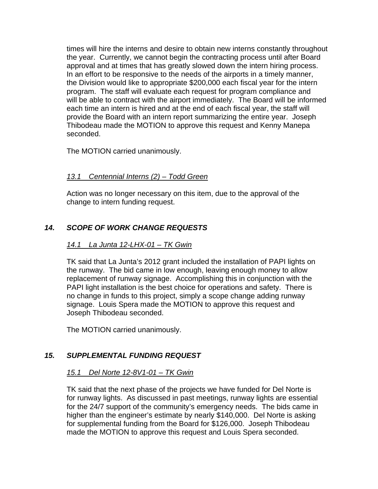times will hire the interns and desire to obtain new interns constantly throughout the year. Currently, we cannot begin the contracting process until after Board approval and at times that has greatly slowed down the intern hiring process. In an effort to be responsive to the needs of the airports in a timely manner, the Division would like to appropriate \$200,000 each fiscal year for the intern program. The staff will evaluate each request for program compliance and will be able to contract with the airport immediately. The Board will be informed each time an intern is hired and at the end of each fiscal year, the staff will provide the Board with an intern report summarizing the entire year. Joseph Thibodeau made the MOTION to approve this request and Kenny Manepa seconded.

The MOTION carried unanimously.

## *13.1 Centennial Interns (2) – Todd Green*

 Action was no longer necessary on this item, due to the approval of the change to intern funding request.

## *14. SCOPE OF WORK CHANGE REQUESTS*

## *14.1 La Junta 12-LHX-01 – TK Gwin*

 TK said that La Junta's 2012 grant included the installation of PAPI lights on the runway. The bid came in low enough, leaving enough money to allow replacement of runway signage. Accomplishing this in conjunction with the PAPI light installation is the best choice for operations and safety. There is no change in funds to this project, simply a scope change adding runway signage. Louis Spera made the MOTION to approve this request and Joseph Thibodeau seconded.

The MOTION carried unanimously.

## *15. SUPPLEMENTAL FUNDING REQUEST*

## *15.1 Del Norte 12-8V1-01 – TK Gwin*

 TK said that the next phase of the projects we have funded for Del Norte is for runway lights. As discussed in past meetings, runway lights are essential for the 24/7 support of the community's emergency needs. The bids came in higher than the engineer's estimate by nearly \$140,000. Del Norte is asking for supplemental funding from the Board for \$126,000. Joseph Thibodeau made the MOTION to approve this request and Louis Spera seconded.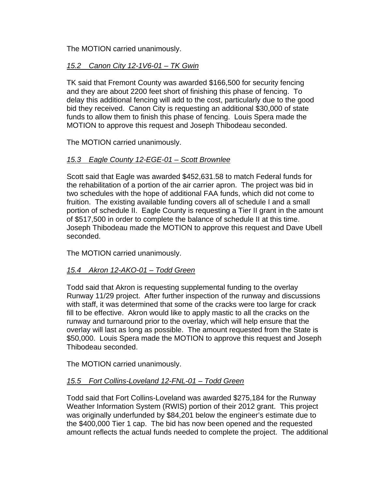The MOTION carried unanimously.

## *15.2 Canon City 12-1V6-01 – TK Gwin*

 TK said that Fremont County was awarded \$166,500 for security fencing and they are about 2200 feet short of finishing this phase of fencing. To delay this additional fencing will add to the cost, particularly due to the good bid they received. Canon City is requesting an additional \$30,000 of state funds to allow them to finish this phase of fencing. Louis Spera made the MOTION to approve this request and Joseph Thibodeau seconded.

The MOTION carried unanimously.

#### *15.3 Eagle County 12-EGE-01 – Scott Brownlee*

 Scott said that Eagle was awarded \$452,631.58 to match Federal funds for the rehabilitation of a portion of the air carrier apron. The project was bid in two schedules with the hope of additional FAA funds, which did not come to fruition. The existing available funding covers all of schedule I and a small portion of schedule II. Eagle County is requesting a Tier II grant in the amount of \$517,500 in order to complete the balance of schedule II at this time. Joseph Thibodeau made the MOTION to approve this request and Dave Ubell seconded.

The MOTION carried unanimously.

## *15.4 Akron 12-AKO-01 – Todd Green*

 Todd said that Akron is requesting supplemental funding to the overlay Runway 11/29 project. After further inspection of the runway and discussions with staff, it was determined that some of the cracks were too large for crack fill to be effective. Akron would like to apply mastic to all the cracks on the runway and turnaround prior to the overlay, which will help ensure that the overlay will last as long as possible. The amount requested from the State is \$50,000. Louis Spera made the MOTION to approve this request and Joseph Thibodeau seconded.

The MOTION carried unanimously.

## *15.5 Fort Collins-Loveland 12-FNL-01 – Todd Green*

 Todd said that Fort Collins-Loveland was awarded \$275,184 for the Runway Weather Information System (RWIS) portion of their 2012 grant. This project was originally underfunded by \$84,201 below the engineer's estimate due to the \$400,000 Tier 1 cap. The bid has now been opened and the requested amount reflects the actual funds needed to complete the project. The additional